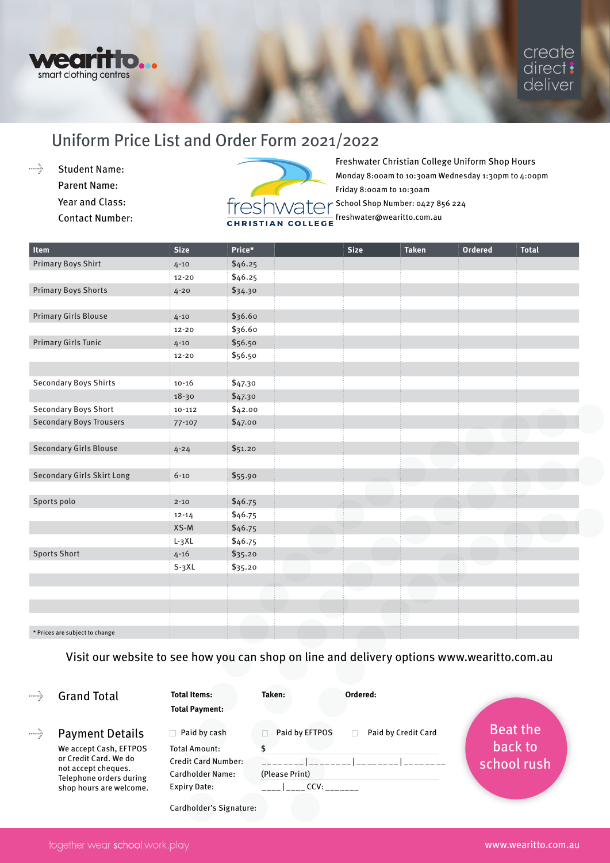

# Uniform Price List and Order Form 2021/2022

 $\ldots$  . Student Name: Parent Name: Year and Class: Contact Number:



| \$46.25<br>$4 - 10$<br>\$46.25<br>$12 - 20$<br>\$34.30<br>$4 - 20$<br>\$36.60<br>$4 - 10$<br>\$36.60<br>$12 - 20$<br>\$56.50<br>$4 - 10$<br>\$56.50<br>$12 - 20$<br>\$47.30<br>$10 - 16$<br>\$47.30<br>$18 - 30$<br>\$42.00<br>$10 - 112$<br>\$47.00<br>$77 - 107$<br>\$51.20<br>$4 - 24$<br><b>Secondary Girls Skirt Long</b><br>\$55.90<br>$6 - 10$<br>\$46.75<br>$2 - 10$<br>\$46.75<br>$12 - 14$<br>$XS-M$<br>\$46.75<br>\$46.75<br>$L-3XL$<br><b>Sports Short</b><br>$4 - 16$<br>\$35.20<br>$S-3XL$<br>\$35.20 | <b>Item</b>                    | <b>Size</b> | Price* | <b>Size</b> | <b>Taken</b> | <b>Ordered</b> | <b>Total</b> |
|---------------------------------------------------------------------------------------------------------------------------------------------------------------------------------------------------------------------------------------------------------------------------------------------------------------------------------------------------------------------------------------------------------------------------------------------------------------------------------------------------------------------|--------------------------------|-------------|--------|-------------|--------------|----------------|--------------|
|                                                                                                                                                                                                                                                                                                                                                                                                                                                                                                                     | <b>Primary Boys Shirt</b>      |             |        |             |              |                |              |
|                                                                                                                                                                                                                                                                                                                                                                                                                                                                                                                     |                                |             |        |             |              |                |              |
|                                                                                                                                                                                                                                                                                                                                                                                                                                                                                                                     | <b>Primary Boys Shorts</b>     |             |        |             |              |                |              |
|                                                                                                                                                                                                                                                                                                                                                                                                                                                                                                                     |                                |             |        |             |              |                |              |
|                                                                                                                                                                                                                                                                                                                                                                                                                                                                                                                     | <b>Primary Girls Blouse</b>    |             |        |             |              |                |              |
|                                                                                                                                                                                                                                                                                                                                                                                                                                                                                                                     |                                |             |        |             |              |                |              |
|                                                                                                                                                                                                                                                                                                                                                                                                                                                                                                                     | <b>Primary Girls Tunic</b>     |             |        |             |              |                |              |
|                                                                                                                                                                                                                                                                                                                                                                                                                                                                                                                     |                                |             |        |             |              |                |              |
|                                                                                                                                                                                                                                                                                                                                                                                                                                                                                                                     |                                |             |        |             |              |                |              |
|                                                                                                                                                                                                                                                                                                                                                                                                                                                                                                                     | <b>Secondary Boys Shirts</b>   |             |        |             |              |                |              |
|                                                                                                                                                                                                                                                                                                                                                                                                                                                                                                                     |                                |             |        |             |              |                |              |
|                                                                                                                                                                                                                                                                                                                                                                                                                                                                                                                     | Secondary Boys Short           |             |        |             |              |                |              |
|                                                                                                                                                                                                                                                                                                                                                                                                                                                                                                                     | <b>Secondary Boys Trousers</b> |             |        |             |              |                |              |
|                                                                                                                                                                                                                                                                                                                                                                                                                                                                                                                     |                                |             |        |             |              |                |              |
|                                                                                                                                                                                                                                                                                                                                                                                                                                                                                                                     | <b>Secondary Girls Blouse</b>  |             |        |             |              |                |              |
|                                                                                                                                                                                                                                                                                                                                                                                                                                                                                                                     |                                |             |        |             |              |                |              |
|                                                                                                                                                                                                                                                                                                                                                                                                                                                                                                                     |                                |             |        |             |              |                |              |
|                                                                                                                                                                                                                                                                                                                                                                                                                                                                                                                     |                                |             |        |             |              |                |              |
|                                                                                                                                                                                                                                                                                                                                                                                                                                                                                                                     | Sports polo                    |             |        |             |              |                |              |
|                                                                                                                                                                                                                                                                                                                                                                                                                                                                                                                     |                                |             |        |             |              |                |              |
|                                                                                                                                                                                                                                                                                                                                                                                                                                                                                                                     |                                |             |        |             |              |                |              |
|                                                                                                                                                                                                                                                                                                                                                                                                                                                                                                                     |                                |             |        |             |              |                |              |
|                                                                                                                                                                                                                                                                                                                                                                                                                                                                                                                     |                                |             |        |             |              |                |              |
|                                                                                                                                                                                                                                                                                                                                                                                                                                                                                                                     |                                |             |        |             |              |                |              |
|                                                                                                                                                                                                                                                                                                                                                                                                                                                                                                                     |                                |             |        |             |              |                |              |
|                                                                                                                                                                                                                                                                                                                                                                                                                                                                                                                     |                                |             |        |             |              |                |              |
|                                                                                                                                                                                                                                                                                                                                                                                                                                                                                                                     |                                |             |        |             |              |                |              |
|                                                                                                                                                                                                                                                                                                                                                                                                                                                                                                                     |                                |             |        |             |              |                |              |

\* Prices are subject to change

Visit our website to see how you can shop on line and delivery options www.wearitto.com.au

### Grand Total

 $\ldots \Delta$ 

Payment Details We accept Cash, EFTPOS or Credit Card. We do not accept cheques. Telephone orders during shop hours are welcome. **Total Items: Taken: Ordered:**

**Total Payment:** 

| Paid by cash               | Paid by EFTPOS | Paid by Credit Card |
|----------------------------|----------------|---------------------|
| <b>Total Amount:</b>       |                |                     |
| <b>Credit Card Number:</b> |                |                     |
| <b>Cardholder Name:</b>    | (Please Print) |                     |
| <b>Expiry Date:</b>        |                |                     |

Cardholder's Signature: